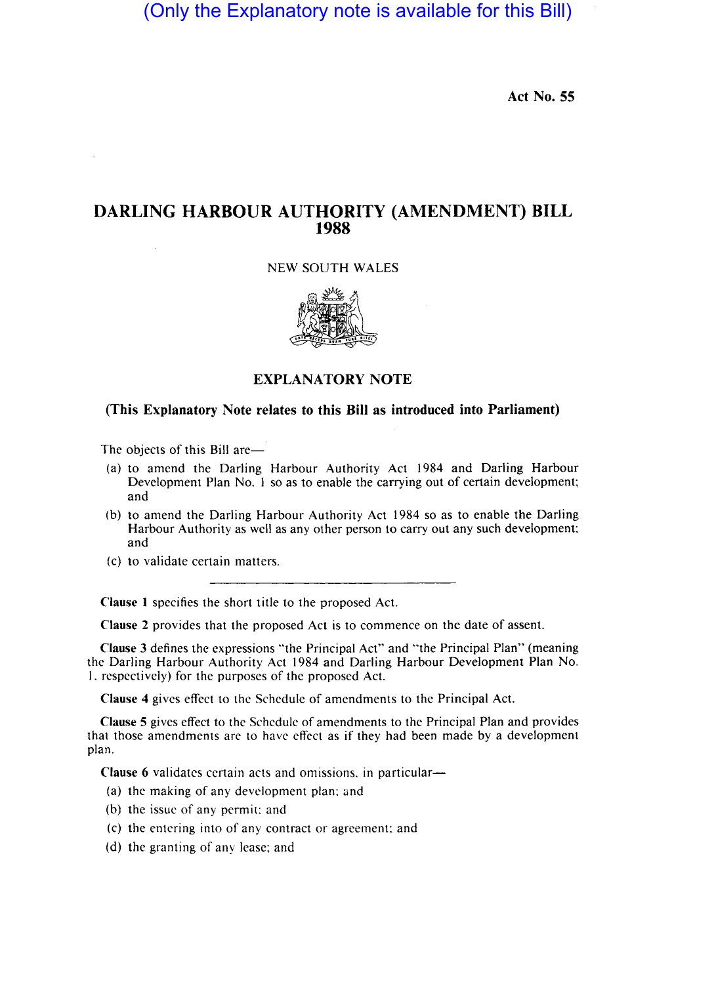(Only the Explanatory note is available for this Bill)

Act No. 55

## DARLING HARBOUR AUTHORITY (AMENDMENT) BILL 1988

### NEW SOUTH WALES



### EXPLANATORY NOTE

### (This Explanatory Note relates to this Bill as introduced into Parliament)

The objects of this Bill are-

- (a) to amend the Darling Harbour Authority Act 1984 and Darling Harbour Development Plan No. I so as to enable the carrying out of certain development; and
- (b) to amend the Darling Harbour Authority Act 1984 so as to enable the Darling Harbour Authority as well as any other person to carry out any such development: and
- (c) to validate certain matters.

Clause I specifies the short title to the proposed Act.

Clause 2 provides that the proposed Act is to commence on the date of assent.

Clause 3 defines the expressions "the Principal Act" and "the Principal Plan" (meaning the Darling Harbour Authority Act 1984 and Darling Harbour Development Plan No. I. respectively) for the purposes of the proposed Act.

Clause 4 gives effect to the Schedule of amendments to the Principal Act.

Clause 5 gives effect to the Schedule of amendments to the Principal Plan and provides that those amendments are to have effect as if they had been made by a development plan.

Clause 6 validates certain acts and omissions, in particular-

- (a) the making of any development plan: and
- (b) the issue of any permit: and
- (c) the entering into of any contract or agreement: and
- (d) the granting of any lease; and